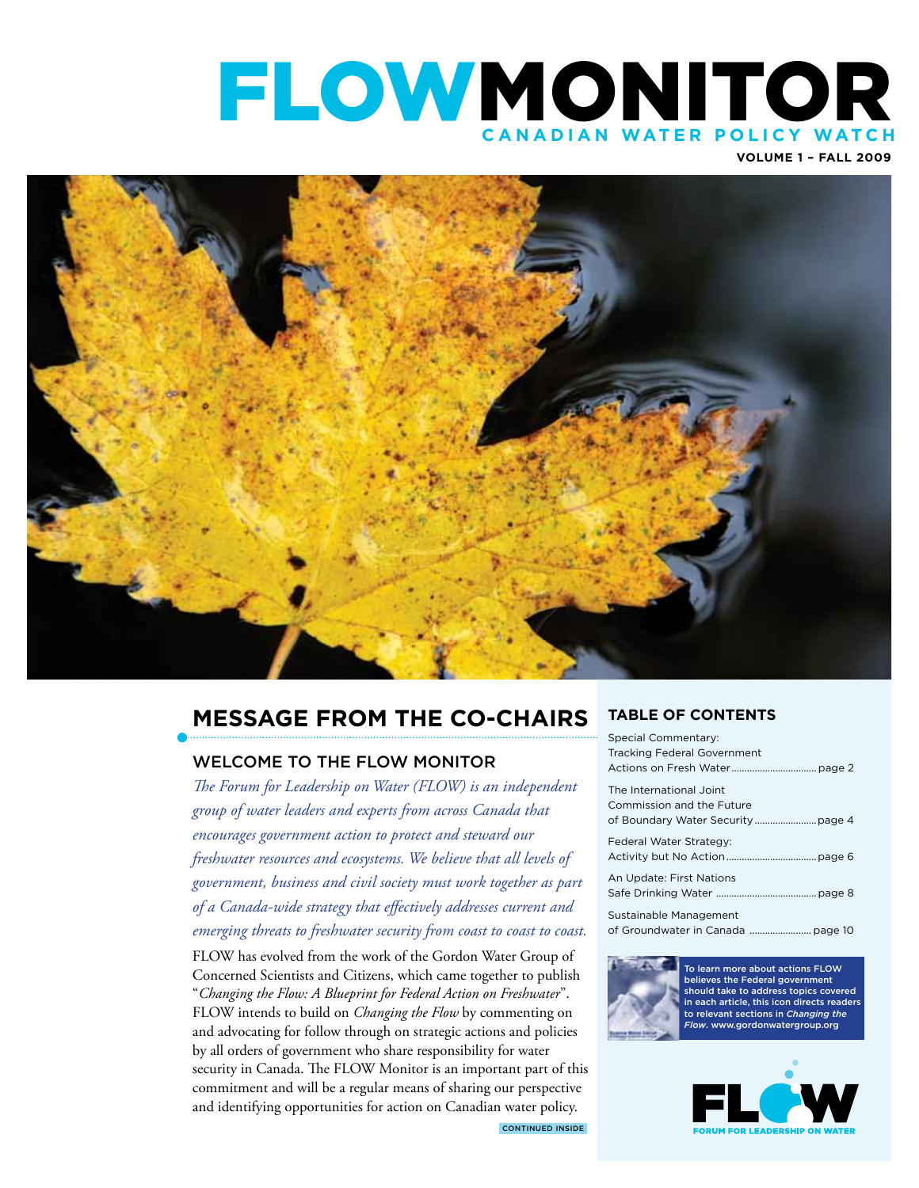# flowmonitor **C anadian Water P olic y Watch**

**Volume 1 – Fall 2009**



# **Message from the Co-Chairs**

### Welcome to the FLOW Monitor

*The Forum for Leadership on Water (FLOW) is an independent group of water leaders and experts from across Canada that encourages government action to protect and steward our freshwater resources and ecosystems. We believe that all levels of government, business and civil society must work together as part of a Canada-wide strategy that effectively addresses current and emerging threats to freshwater security from coast to coast to coast.* 

FLOW has evolved from the work of the Gordon Water Group of Concerned Scientists and Citizens, which came together to publish "*Changing the Flow: A Blueprint for Federal Action on Freshwater*". FLOW intends to build on *Changing the Flow* by commenting on and advocating for follow through on strategic actions and policies by all orders of government who share responsibility for water security in Canada. The FLOW Monitor is an important part of this commitment and will be a regular means of sharing our perspective and identifying opportunities for action on Canadian water policy.

### **TABLE OF CONTENTS**

| Special Commentary:         |
|-----------------------------|
| Tracking Federal Government |
|                             |
| The International Joint     |
| Commission and the Future   |
|                             |
| Federal Water Strategy:     |
|                             |
| An Update: First Nations    |
|                             |
| Sustainable Management      |
|                             |
|                             |



To learn more about actions FLOW believes the Federal government should take to address topics covered in each article, this icon directs reader to relevant sections in *Changing the Flow*. www.gordonwatergroup.org



CONTINUED inside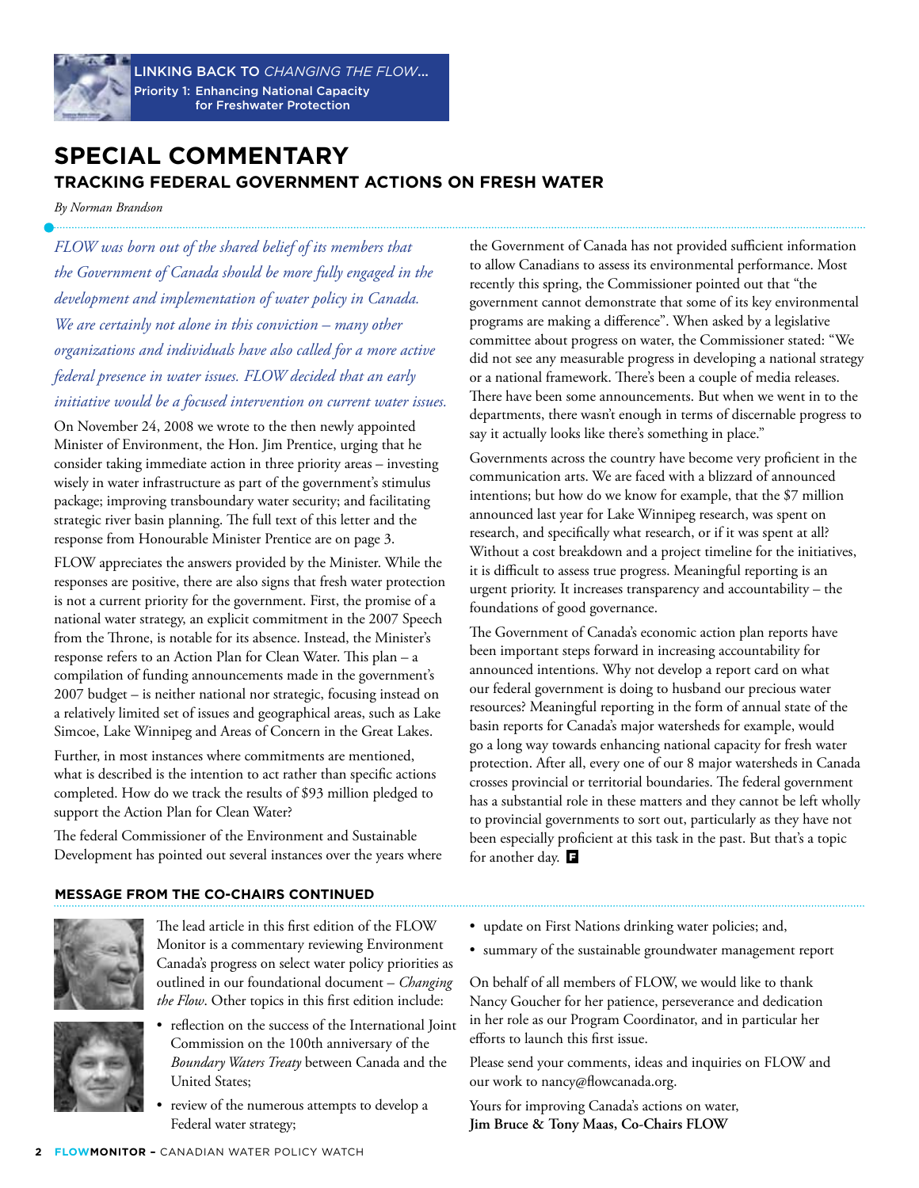

Linking back to *Changing the Flow*... Priority 1: Enhancing National Capacity for Freshwater Protection

### **Special Commentary Tracking Federal Government Actions on Fresh water**

*By Norman Brandson*

*FLOW was born out of the shared belief of its members that the Government of Canada should be more fully engaged in the development and implementation of water policy in Canada. We are certainly not alone in this conviction – many other organizations and individuals have also called for a more active federal presence in water issues. FLOW decided that an early initiative would be a focused intervention on current water issues.* 

On November 24, 2008 we wrote to the then newly appointed Minister of Environment, the Hon. Jim Prentice, urging that he consider taking immediate action in three priority areas – investing wisely in water infrastructure as part of the government's stimulus package; improving transboundary water security; and facilitating strategic river basin planning. The full text of this letter and the response from Honourable Minister Prentice are on page 3.

FLOW appreciates the answers provided by the Minister. While the responses are positive, there are also signs that fresh water protection is not a current priority for the government. First, the promise of a national water strategy, an explicit commitment in the 2007 Speech from the Throne, is notable for its absence. Instead, the Minister's response refers to an Action Plan for Clean Water. This plan – a compilation of funding announcements made in the government's 2007 budget – is neither national nor strategic, focusing instead on a relatively limited set of issues and geographical areas, such as Lake Simcoe, Lake Winnipeg and Areas of Concern in the Great Lakes.

Further, in most instances where commitments are mentioned, what is described is the intention to act rather than specific actions completed. How do we track the results of \$93 million pledged to support the Action Plan for Clean Water?

The federal Commissioner of the Environment and Sustainable Development has pointed out several instances over the years where the Government of Canada has not provided sufficient information to allow Canadians to assess its environmental performance. Most recently this spring, the Commissioner pointed out that "the government cannot demonstrate that some of its key environmental programs are making a difference". When asked by a legislative committee about progress on water, the Commissioner stated: "We did not see any measurable progress in developing a national strategy or a national framework. There's been a couple of media releases. There have been some announcements. But when we went in to the departments, there wasn't enough in terms of discernable progress to say it actually looks like there's something in place."

Governments across the country have become very proficient in the communication arts. We are faced with a blizzard of announced intentions; but how do we know for example, that the \$7 million announced last year for Lake Winnipeg research, was spent on research, and specifically what research, or if it was spent at all? Without a cost breakdown and a project timeline for the initiatives, it is difficult to assess true progress. Meaningful reporting is an urgent priority. It increases transparency and accountability – the foundations of good governance.

The Government of Canada's economic action plan reports have been important steps forward in increasing accountability for announced intentions. Why not develop a report card on what our federal government is doing to husband our precious water resources? Meaningful reporting in the form of annual state of the basin reports for Canada's major watersheds for example, would go a long way towards enhancing national capacity for fresh water protection. After all, every one of our 8 major watersheds in Canada crosses provincial or territorial boundaries. The federal government has a substantial role in these matters and they cannot be left wholly to provincial governments to sort out, particularly as they have not been especially proficient at this task in the past. But that's a topic for another day.

### **Message from the Co-Chairs continued**



The lead article in this first edition of the FLOW Monitor is a commentary reviewing Environment Canada's progress on select water policy priorities as outlined in our foundational document – *Changing the Flow*. Other topics in this first edition include:

- reflection on the success of the International Joint Commission on the 100th anniversary of the *Boundary Waters Treaty* between Canada and the United States;
	- review of the numerous attempts to develop a Federal water strategy;
- update on First Nations drinking water policies; and,
- • summary of the sustainable groundwater management report

On behalf of all members of FLOW, we would like to thank Nancy Goucher for her patience, perseverance and dedication in her role as our Program Coordinator, and in particular her efforts to launch this first issue.

Please send your comments, ideas and inquiries on FLOW and our work to nancy@flowcanada.org.

Yours for improving Canada's actions on water, **Jim Bruce & Tony Maas, Co-Chairs FLOW**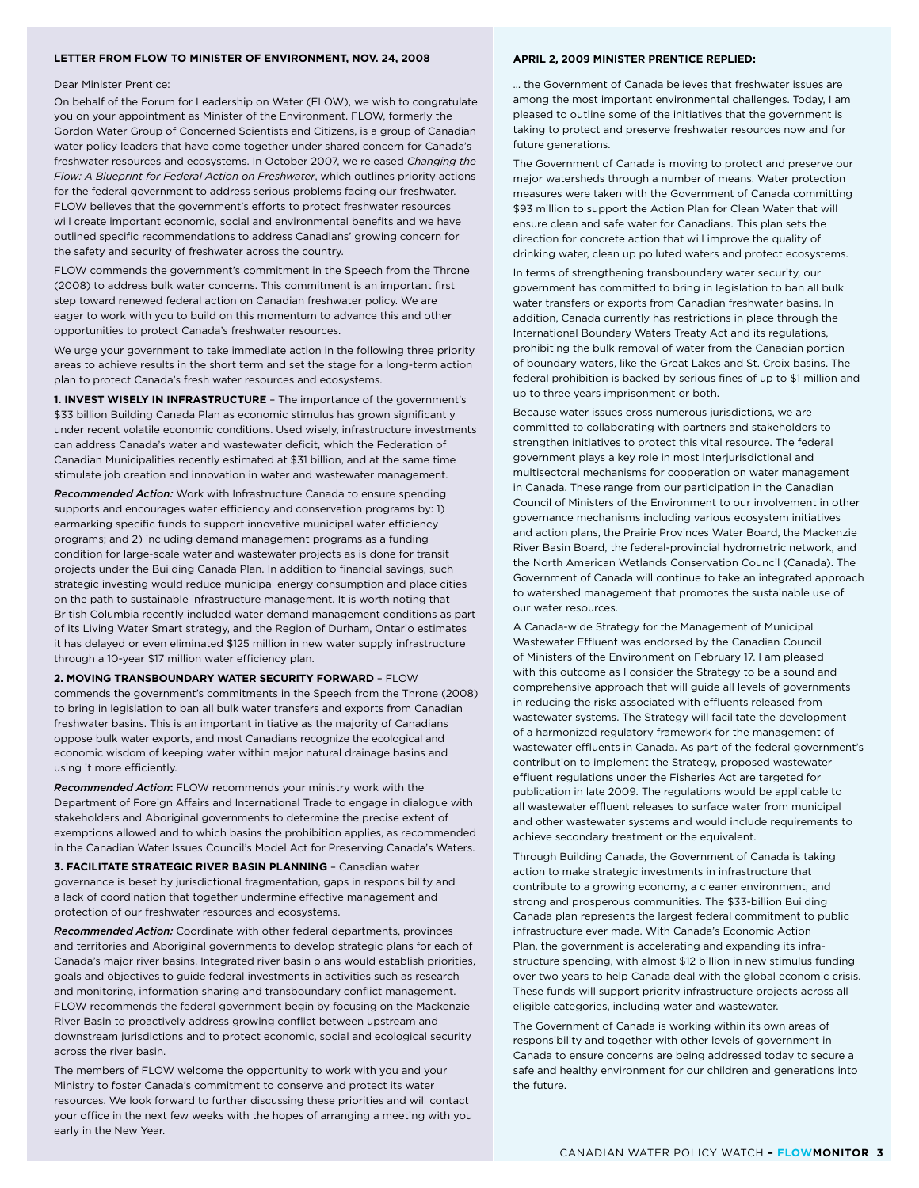#### **Letter from FLOW to Minister of Environment, Nov. 24, 2008**

#### **April 2, 2009 Minister Prentice replied:**

#### Dear Minister Prentice:

On behalf of the Forum for Leadership on Water (FLOW), we wish to congratulate you on your appointment as Minister of the Environment. FLOW, formerly the Gordon Water Group of Concerned Scientists and Citizens, is a group of Canadian water policy leaders that have come together under shared concern for Canada's freshwater resources and ecosystems. In October 2007, we released *Changing the Flow: A Blueprint for Federal Action on Freshwater*, which outlines priority actions for the federal government to address serious problems facing our freshwater. FLOW believes that the government's efforts to protect freshwater resources will create important economic, social and environmental benefits and we have outlined specific recommendations to address Canadians' growing concern for the safety and security of freshwater across the country.

FLOW commends the government's commitment in the Speech from the Throne (2008) to address bulk water concerns. This commitment is an important first step toward renewed federal action on Canadian freshwater policy. We are eager to work with you to build on this momentum to advance this and other opportunities to protect Canada's freshwater resources.

We urge your government to take immediate action in the following three priority areas to achieve results in the short term and set the stage for a long-term action plan to protect Canada's fresh water resources and ecosystems.

**1. Invest wisely in infrastructure** – The importance of the government's \$33 billion Building Canada Plan as economic stimulus has grown significantly under recent volatile economic conditions. Used wisely, infrastructure investments can address Canada's water and wastewater deficit, which the Federation of Canadian Municipalities recently estimated at \$31 billion, and at the same time stimulate job creation and innovation in water and wastewater management.

*Recommended Action:* Work with Infrastructure Canada to ensure spending supports and encourages water efficiency and conservation programs by: 1) earmarking specific funds to support innovative municipal water efficiency programs; and 2) including demand management programs as a funding condition for large-scale water and wastewater projects as is done for transit projects under the Building Canada Plan. In addition to financial savings, such strategic investing would reduce municipal energy consumption and place cities on the path to sustainable infrastructure management. It is worth noting that British Columbia recently included water demand management conditions as part of its Living Water Smart strategy, and the Region of Durham, Ontario estimates it has delayed or even eliminated \$125 million in new water supply infrastructure through a 10-year \$17 million water efficiency plan.

**2. Moving transboundary water security forward** – FLOW commends the government's commitments in the Speech from the Throne (2008) to bring in legislation to ban all bulk water transfers and exports from Canadian freshwater basins. This is an important initiative as the majority of Canadians oppose bulk water exports, and most Canadians recognize the ecological and economic wisdom of keeping water within major natural drainage basins and using it more efficiently.

*Recommended Action***:** FLOW recommends your ministry work with the Department of Foreign Affairs and International Trade to engage in dialogue with stakeholders and Aboriginal governments to determine the precise extent of exemptions allowed and to which basins the prohibition applies, as recommended in the Canadian Water Issues Council's Model Act for Preserving Canada's Waters.

**3. Facilitate strategic river basin planning** – Canadian water governance is beset by jurisdictional fragmentation, gaps in responsibility and a lack of coordination that together undermine effective management and protection of our freshwater resources and ecosystems.

*Recommended Action:* Coordinate with other federal departments, provinces and territories and Aboriginal governments to develop strategic plans for each of Canada's major river basins. Integrated river basin plans would establish priorities, goals and objectives to guide federal investments in activities such as research and monitoring, information sharing and transboundary conflict management. FLOW recommends the federal government begin by focusing on the Mackenzie River Basin to proactively address growing conflict between upstream and downstream jurisdictions and to protect economic, social and ecological security across the river basin.

The members of FLOW welcome the opportunity to work with you and your Ministry to foster Canada's commitment to conserve and protect its water resources. We look forward to further discussing these priorities and will contact your office in the next few weeks with the hopes of arranging a meeting with you early in the New Year.

… the Government of Canada believes that freshwater issues are among the most important environmental challenges. Today, I am pleased to outline some of the initiatives that the government is taking to protect and preserve freshwater resources now and for future generations.

The Government of Canada is moving to protect and preserve our major watersheds through a number of means. Water protection measures were taken with the Government of Canada committing \$93 million to support the Action Plan for Clean Water that will ensure clean and safe water for Canadians. This plan sets the direction for concrete action that will improve the quality of drinking water, clean up polluted waters and protect ecosystems.

In terms of strengthening transboundary water security, our government has committed to bring in legislation to ban all bulk water transfers or exports from Canadian freshwater basins. In addition, Canada currently has restrictions in place through the International Boundary Waters Treaty Act and its regulations, prohibiting the bulk removal of water from the Canadian portion of boundary waters, like the Great Lakes and St. Croix basins. The federal prohibition is backed by serious fines of up to \$1 million and up to three years imprisonment or both.

Because water issues cross numerous jurisdictions, we are committed to collaborating with partners and stakeholders to strengthen initiatives to protect this vital resource. The federal government plays a key role in most interjurisdictional and multisectoral mechanisms for cooperation on water management in Canada. These range from our participation in the Canadian Council of Ministers of the Environment to our involvement in other governance mechanisms including various ecosystem initiatives and action plans, the Prairie Provinces Water Board, the Mackenzie River Basin Board, the federal-provincial hydrometric network, and the North American Wetlands Conservation Council (Canada). The Government of Canada will continue to take an integrated approach to watershed management that promotes the sustainable use of our water resources.

A Canada-wide Strategy for the Management of Municipal Wastewater Effluent was endorsed by the Canadian Council of Ministers of the Environment on February 17. I am pleased with this outcome as I consider the Strategy to be a sound and comprehensive approach that will guide all levels of governments in reducing the risks associated with effluents released from wastewater systems. The Strategy will facilitate the development of a harmonized regulatory framework for the management of wastewater effluents in Canada. As part of the federal government's contribution to implement the Strategy, proposed wastewater effluent regulations under the Fisheries Act are targeted for publication in late 2009. The regulations would be applicable to all wastewater effluent releases to surface water from municipal and other wastewater systems and would include requirements to achieve secondary treatment or the equivalent.

Through Building Canada, the Government of Canada is taking action to make strategic investments in infrastructure that contribute to a growing economy, a cleaner environment, and strong and prosperous communities. The \$33-billion Building Canada plan represents the largest federal commitment to public infrastructure ever made. With Canada's Economic Action Plan, the government is accelerating and expanding its infrastructure spending, with almost \$12 billion in new stimulus funding over two years to help Canada deal with the global economic crisis. These funds will support priority infrastructure projects across all eligible categories, including water and wastewater.

The Government of Canada is working within its own areas of responsibility and together with other levels of government in Canada to ensure concerns are being addressed today to secure a safe and healthy environment for our children and generations into the future.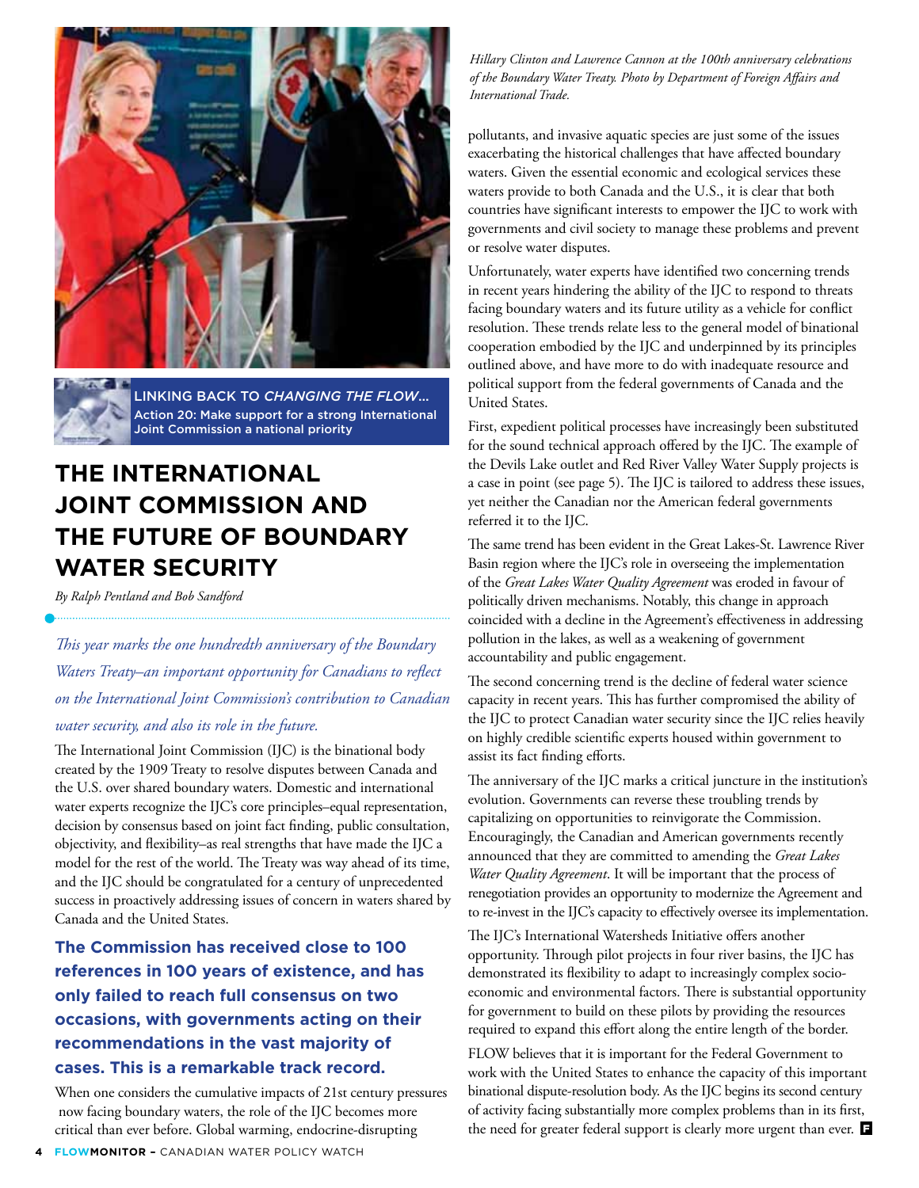

Linking back to *Changing the Flow*... Action 20: Make support for a strong International Joint Commission a national priority

# **The International Joint Commission and the Future of Boundary Water Security**

*By Ralph Pentland and Bob Sandford* 

*This year marks the one hundredth anniversary of the Boundary Waters Treaty–an important opportunity for Canadians to reflect on the International Joint Commission's contribution to Canadian water security, and also its role in the future.* 

The International Joint Commission (IJC) is the binational body created by the 1909 Treaty to resolve disputes between Canada and the U.S. over shared boundary waters. Domestic and international water experts recognize the IJC's core principles–equal representation, decision by consensus based on joint fact finding, public consultation, objectivity, and flexibility–as real strengths that have made the IJC a model for the rest of the world. The Treaty was way ahead of its time, and the IJC should be congratulated for a century of unprecedented success in proactively addressing issues of concern in waters shared by Canada and the United States.

**The Commission has received close to 100 references in 100 years of existence, and has only failed to reach full consensus on two occasions, with governments acting on their recommendations in the vast majority of cases. This is a remarkable track record.** 

When one considers the cumulative impacts of 21st century pressures now facing boundary waters, the role of the IJC becomes more critical than ever before. Global warming, endocrine-disrupting

*Hillary Clinton and Lawrence Cannon at the 100th anniversary celebrations of the Boundary Water Treaty. Photo by Department of Foreign Affairs and International Trade.*

pollutants, and invasive aquatic species are just some of the issues exacerbating the historical challenges that have affected boundary waters. Given the essential economic and ecological services these waters provide to both Canada and the U.S., it is clear that both countries have significant interests to empower the IJC to work with governments and civil society to manage these problems and prevent or resolve water disputes.

Unfortunately, water experts have identified two concerning trends in recent years hindering the ability of the IJC to respond to threats facing boundary waters and its future utility as a vehicle for conflict resolution. These trends relate less to the general model of binational cooperation embodied by the IJC and underpinned by its principles outlined above, and have more to do with inadequate resource and political support from the federal governments of Canada and the United States.

First, expedient political processes have increasingly been substituted for the sound technical approach offered by the IJC. The example of the Devils Lake outlet and Red River Valley Water Supply projects is a case in point (see page 5). The IJC is tailored to address these issues, yet neither the Canadian nor the American federal governments referred it to the IJC.

The same trend has been evident in the Great Lakes-St. Lawrence River Basin region where the IJC's role in overseeing the implementation of the *Great Lakes Water Quality Agreement* was eroded in favour of politically driven mechanisms. Notably, this change in approach coincided with a decline in the Agreement's effectiveness in addressing pollution in the lakes, as well as a weakening of government accountability and public engagement.

The second concerning trend is the decline of federal water science capacity in recent years. This has further compromised the ability of the IJC to protect Canadian water security since the IJC relies heavily on highly credible scientific experts housed within government to assist its fact finding efforts.

The anniversary of the IJC marks a critical juncture in the institution's evolution. Governments can reverse these troubling trends by capitalizing on opportunities to reinvigorate the Commission. Encouragingly, the Canadian and American governments recently announced that they are committed to amending the *Great Lakes Water Quality Agreement*. It will be important that the process of renegotiation provides an opportunity to modernize the Agreement and to re-invest in the IJC's capacity to effectively oversee its implementation.

The IJC's International Watersheds Initiative offers another opportunity. Through pilot projects in four river basins, the IJC has demonstrated its flexibility to adapt to increasingly complex socioeconomic and environmental factors. There is substantial opportunity for government to build on these pilots by providing the resources required to expand this effort along the entire length of the border.

FLOW believes that it is important for the Federal Government to work with the United States to enhance the capacity of this important binational dispute-resolution body. As the IJC begins its second century of activity facing substantially more complex problems than in its first, the need for greater federal support is clearly more urgent than ever.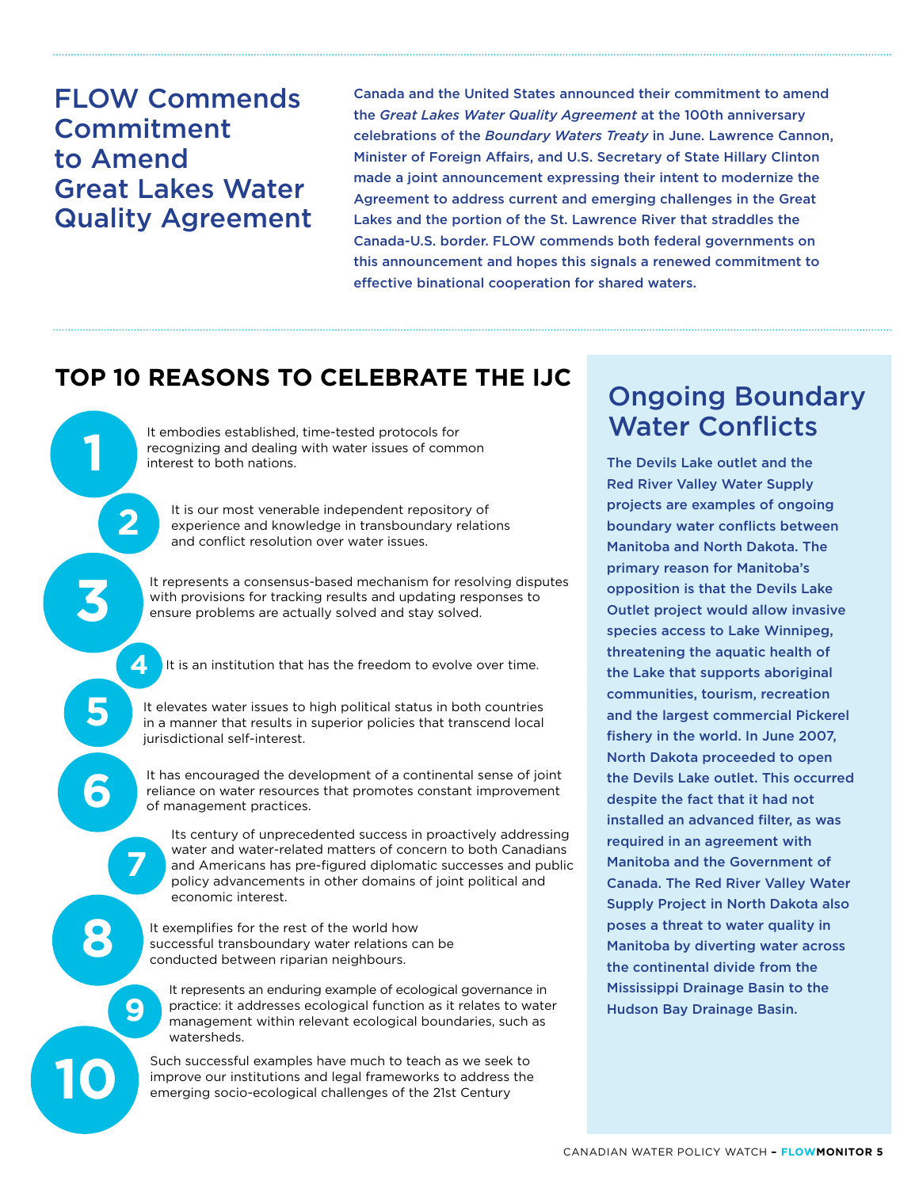FLOW Commends Commitment to Amend Great Lakes Water Quality Agreement

**1**

**2**

**4**

**3**

**6**

**5**

**7**

**9**

**8**

**10**

Canada and the United States announced their commitment to amend the *Great Lakes Water Quality Agreement* at the 100th anniversary celebrations of the *Boundary Waters Treaty* in June. Lawrence Cannon, Minister of Foreign Affairs, and U.S. Secretary of State Hillary Clinton made a joint announcement expressing their intent to modernize the Agreement to address current and emerging challenges in the Great Lakes and the portion of the St. Lawrence River that straddles the Canada-U.S. border. FLOW commends both federal governments on this announcement and hopes this signals a renewed commitment to effective binational cooperation for shared waters.

## **Top 10 Reasons to Celebrate the IJC**

recognizing and dealing with water issues of common interest to both nations.

It is our most venerable independent repository of experience and knowledge in transboundary relations and conflict resolution over water issues.

It represents a consensus-based mechanism for resolving disputes with provisions for tracking results and updating responses to ensure problems are actually solved and stay solved.

It is an institution that has the freedom to evolve over time.

It elevates water issues to high political status in both countries in a manner that results in superior policies that transcend local jurisdictional self-interest.

It has encouraged the development of a continental sense of joint reliance on water resources that promotes constant improvement of management practices.

Its century of unprecedented success in proactively addressing water and water-related matters of concern to both Canadians and Americans has pre-figured diplomatic successes and public policy advancements in other domains of joint political and economic interest.

It exemplifies for the rest of the world how successful transboundary water relations can be conducted between riparian neighbours.

It represents an enduring example of ecological governance in practice: it addresses ecological function as it relates to water management within relevant ecological boundaries, such as watersheds.

Such successful examples have much to teach as we seek to improve our institutions and legal frameworks to address the emerging socio-ecological challenges of the 21st Century

# Ongoing Boundary It embodies established, time-tested protocols for **Water Conflicts**

The Devils Lake outlet and the Red River Valley Water Supply projects are examples of ongoing boundary water conflicts between Manitoba and North Dakota. The primary reason for Manitoba's opposition is that the Devils Lake Outlet project would allow invasive species access to Lake Winnipeg, threatening the aquatic health of the Lake that supports aboriginal communities, tourism, recreation and the largest commercial Pickerel fishery in the world. In June 2007, North Dakota proceeded to open the Devils Lake outlet. This occurred despite the fact that it had not installed an advanced filter, as was required in an agreement with Manitoba and the Government of Canada. The Red River Valley Water Supply Project in North Dakota also poses a threat to water quality in Manitoba by diverting water across the continental divide from the Mississippi Drainage Basin to the Hudson Bay Drainage Basin.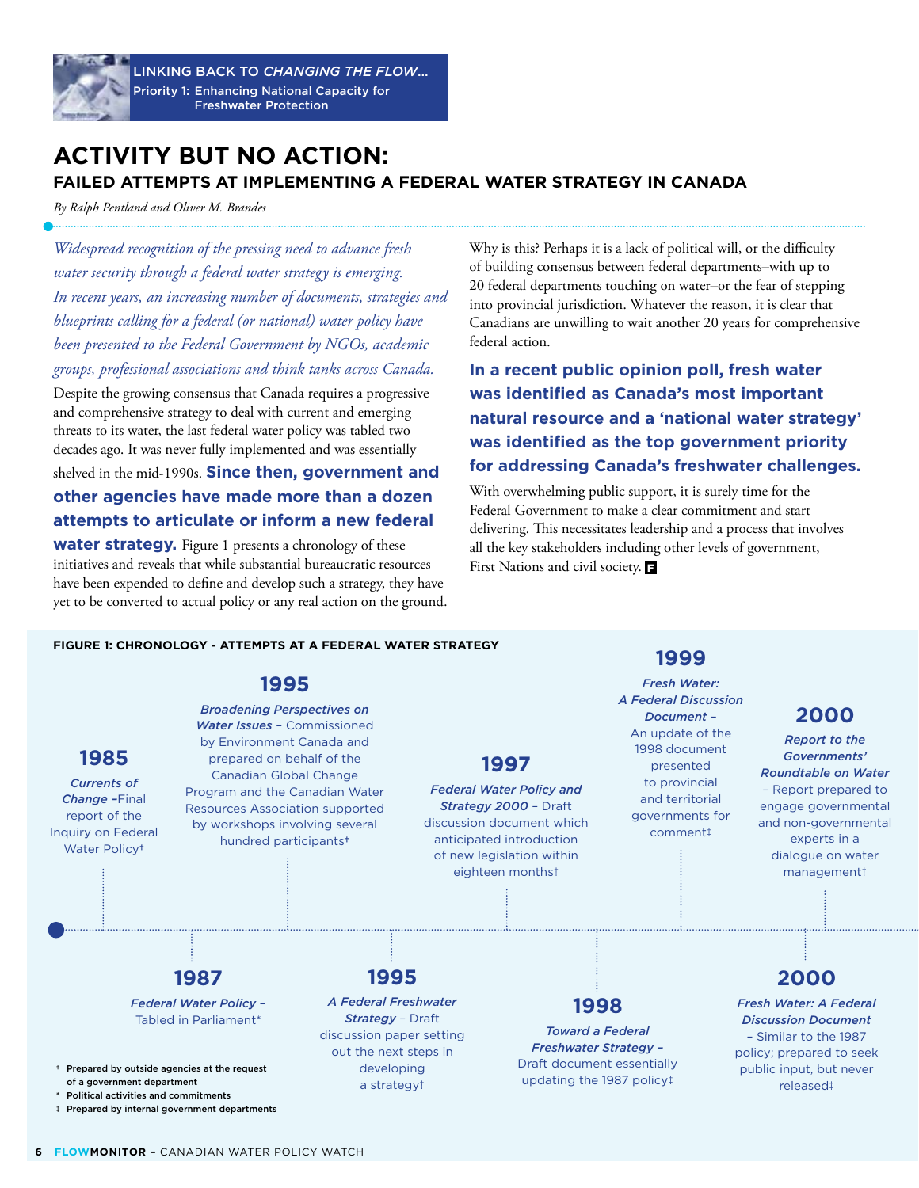

Linking back to *Changing the Flow*... Priority 1: Enhancing National Capacity for Freshwater Protection

### **Activity but No Action: Failed Attempts at Implementing a Federal Water Strategy in Canada**

*By Ralph Pentland and Oliver M. Brandes*

*Widespread recognition of the pressing need to advance fresh water security through a federal water strategy is emerging. In recent years, an increasing number of documents, strategies and blueprints calling for a federal (or national) water policy have been presented to the Federal Government by NGOs, academic groups, professional associations and think tanks across Canada.* 

Despite the growing consensus that Canada requires a progressive and comprehensive strategy to deal with current and emerging threats to its water, the last federal water policy was tabled two decades ago. It was never fully implemented and was essentially

shelved in the mid-1990s. **Since then, government and other agencies have made more than a dozen attempts to articulate or inform a new federal** 

**water strategy.** Figure 1 presents a chronology of these initiatives and reveals that while substantial bureaucratic resources have been expended to define and develop such a strategy, they have yet to be converted to actual policy or any real action on the ground. Why is this? Perhaps it is a lack of political will, or the difficulty of building consensus between federal departments–with up to 20 federal departments touching on water–or the fear of stepping into provincial jurisdiction. Whatever the reason, it is clear that Canadians are unwilling to wait another 20 years for comprehensive federal action.

**In a recent public opinion poll, fresh water was identified as Canada's most important natural resource and a 'national water strategy' was identified as the top government priority for addressing Canada's freshwater challenges.** 

With overwhelming public support, it is surely time for the Federal Government to make a clear commitment and start delivering. This necessitates leadership and a process that involves all the key stakeholders including other levels of government, First Nations and civil society.  $\blacksquare$ 

#### **Figure 1: Chronology - attempts at a federal water strategy**

# **1995**



### **1999**

*Fresh Water: A Federal Discussion Document* – An update of the 1998 document presented to provincial and territorial governments for comment‡

### **2000**

*Report to the Governments' Roundtable on Water* – Report prepared to engage governmental and non-governmental experts in a dialogue on water management‡

### **2000**

*Fresh Water: A Federal Discussion Document* – Similar to the 1987 policy; prepared to seek public input, but never released‡

‡ Prepared by internal government departments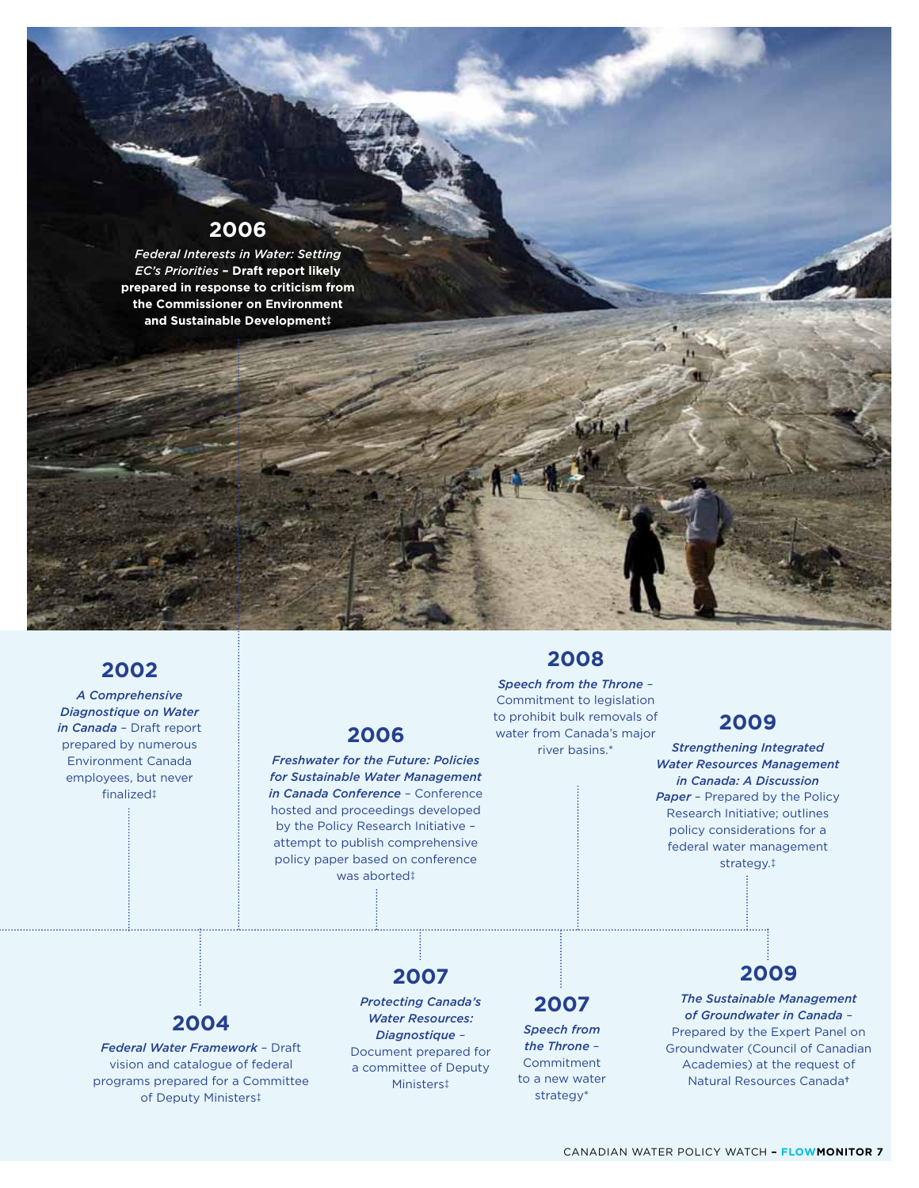### **2006**

*Federal Interests in Water: Setting EC's Priorities* **– Draft report likely prepared in response to criticism from the Commissioner on Environment and Sustainable Development‡**

### **2002**

*A Comprehensive Diagnostique on Water in Canada* – Draft report prepared by numerous Environment Canada employees, but never finalized‡

### **2006**

*Freshwater for the Future: Policies for Sustainable Water Management in Canada Conference* – Conference hosted and proceedings developed by the Policy Research Initiative – attempt to publish comprehensive policy paper based on conference was aborted‡

### **2008**

*Speech from the Throne* – Commitment to legislation to prohibit bulk removals of water from Canada's major river basins.\*

### **2009**

*Strengthening Integrated Water Resources Management in Canada: A Discussion*  **Paper** - Prepared by the Policy Research Initiative; outlines policy considerations for a federal water management strategy.‡

### **2004**

*Federal Water Framework* – Draft vision and catalogue of federal programs prepared for a Committee of Deputy Ministers‡

# **2007**

*Protecting Canada's Water Resources: Diagnostique* – Document prepared for a committee of Deputy Ministers‡

### **2007**

*Speech from the Throne* – Commitment to a new water strategy\*

*The Sustainable Management of Groundwater in Canada* – Prepared by the Expert Panel on Groundwater (Council of Canadian Academies) at the request of Natural Resources Canada**†**

**2009**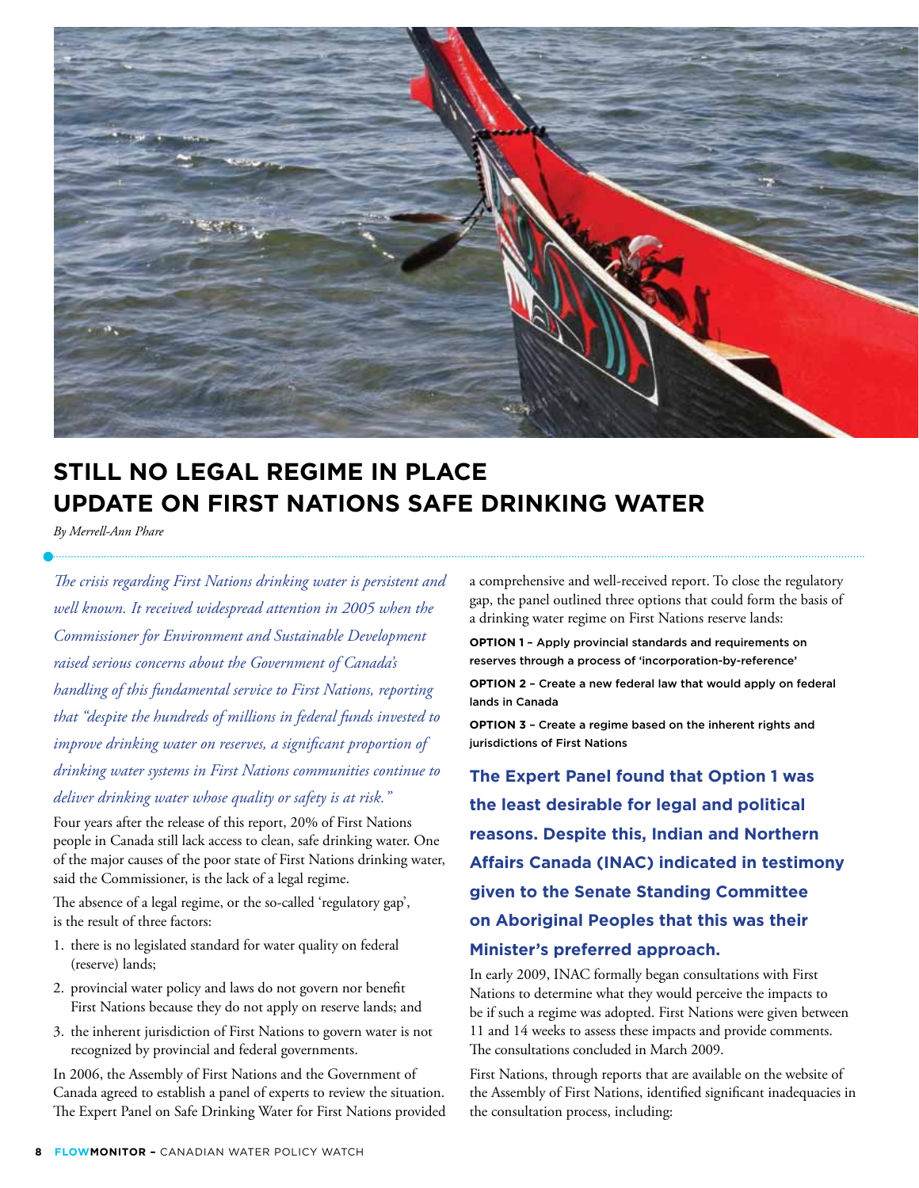

# **Still No Legal Regime in Place Update on First Nations Safe Drinking Water**

*By Merrell-Ann Phare*

*The crisis regarding First Nations drinking water is persistent and well known. It received widespread attention in 2005 when the Commissioner for Environment and Sustainable Development raised serious concerns about the Government of Canada's handling of this fundamental service to First Nations, reporting that "despite the hundreds of millions in federal funds invested to improve drinking water on reserves, a significant proportion of drinking water systems in First Nations communities continue to deliver drinking water whose quality or safety is at risk."* 

Four years after the release of this report, 20% of First Nations people in Canada still lack access to clean, safe drinking water. One of the major causes of the poor state of First Nations drinking water, said the Commissioner, is the lack of a legal regime.

The absence of a legal regime, or the so-called 'regulatory gap', is the result of three factors:

- 1. there is no legislated standard for water quality on federal (reserve) lands;
- 2. provincial water policy and laws do not govern nor benefit First Nations because they do not apply on reserve lands; and
- 3. the inherent jurisdiction of First Nations to govern water is not recognized by provincial and federal governments.

In 2006, the Assembly of First Nations and the Government of Canada agreed to establish a panel of experts to review the situation. The Expert Panel on Safe Drinking Water for First Nations provided a comprehensive and well-received report. To close the regulatory gap, the panel outlined three options that could form the basis of a drinking water regime on First Nations reserve lands:

**OPTION 1 - Apply provincial standards and requirements on** reserves through a process of 'incorporation-by-reference'

**OPTION 2** - Create a new federal law that would apply on federal lands in Canada

**OPTION 3** - Create a regime based on the inherent rights and jurisdictions of First Nations

**The Expert Panel found that Option 1 was the least desirable for legal and political reasons. Despite this, Indian and Northern Affairs Canada (INAC) indicated in testimony given to the Senate Standing Committee on Aboriginal Peoples that this was their Minister's preferred approach.** 

In early 2009, INAC formally began consultations with First Nations to determine what they would perceive the impacts to be if such a regime was adopted. First Nations were given between 11 and 14 weeks to assess these impacts and provide comments. The consultations concluded in March 2009.

First Nations, through reports that are available on the website of the Assembly of First Nations, identified significant inadequacies in the consultation process, including: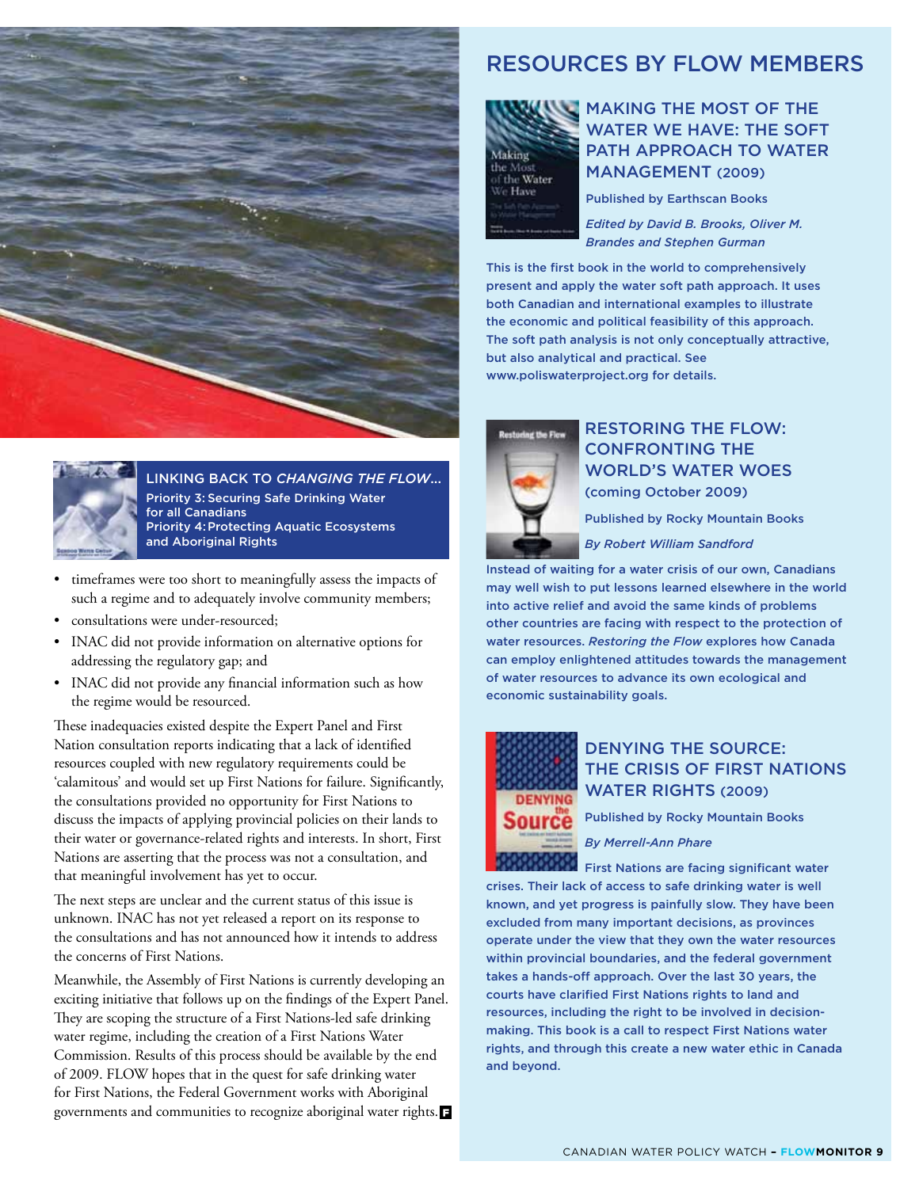

Linking back to *Changing the Flow*... Priority 3: Securing Safe Drinking Water for all Canadians Priority 4:Protecting Aquatic Ecosystems and Aboriginal Rights

- timeframes were too short to meaningfully assess the impacts of such a regime and to adequately involve community members;
- consultations were under-resourced;
- INAC did not provide information on alternative options for addressing the regulatory gap; and
- INAC did not provide any financial information such as how the regime would be resourced.

These inadequacies existed despite the Expert Panel and First Nation consultation reports indicating that a lack of identified resources coupled with new regulatory requirements could be 'calamitous' and would set up First Nations for failure. Significantly, the consultations provided no opportunity for First Nations to discuss the impacts of applying provincial policies on their lands to their water or governance-related rights and interests. In short, First Nations are asserting that the process was not a consultation, and that meaningful involvement has yet to occur.

The next steps are unclear and the current status of this issue is unknown. INAC has not yet released a report on its response to the consultations and has not announced how it intends to address the concerns of First Nations.

Meanwhile, the Assembly of First Nations is currently developing an exciting initiative that follows up on the findings of the Expert Panel. They are scoping the structure of a First Nations-led safe drinking water regime, including the creation of a First Nations Water Commission. Results of this process should be available by the end of 2009. FLOW hopes that in the quest for safe drinking water for First Nations, the Federal Government works with Aboriginal governments and communities to recognize aboriginal water rights.

### Resources by FLOW Members



### Making the Most of the WATER WE HAVE: THE SOFT PATH APPROACH TO WATER Management (2009)

Published by Earthscan Books

*Edited by David B. Brooks, Oliver M. Brandes and Stephen Gurman*

This is the first book in the world to comprehensively present and apply the water soft path approach. It uses both Canadian and international examples to illustrate the economic and political feasibility of this approach. The soft path analysis is not only conceptually attractive, but also analytical and practical. See www.poliswaterproject.org for details.



### Restoring the Flow: Confronting the World's Water Woes

(coming October 2009)

Published by Rocky Mountain Books

*By Robert William Sandford* 

Instead of waiting for a water crisis of our own, Canadians may well wish to put lessons learned elsewhere in the world into active relief and avoid the same kinds of problems other countries are facing with respect to the protection of water resources. *Restoring the Flow* explores how Canada can employ enlightened attitudes towards the management of water resources to advance its own ecological and economic sustainability goals.



### Denying the Source: The Crisis of First Nations WATER RIGHTS (2009)

Published by Rocky Mountain Books

*By Merrell-Ann Phare*

First Nations are facing significant water crises. Their lack of access to safe drinking water is well known, and yet progress is painfully slow. They have been excluded from many important decisions, as provinces operate under the view that they own the water resources within provincial boundaries, and the federal government takes a hands-off approach. Over the last 30 years, the courts have clarified First Nations rights to land and resources, including the right to be involved in decisionmaking. This book is a call to respect First Nations water rights, and through this create a new water ethic in Canada and beyond.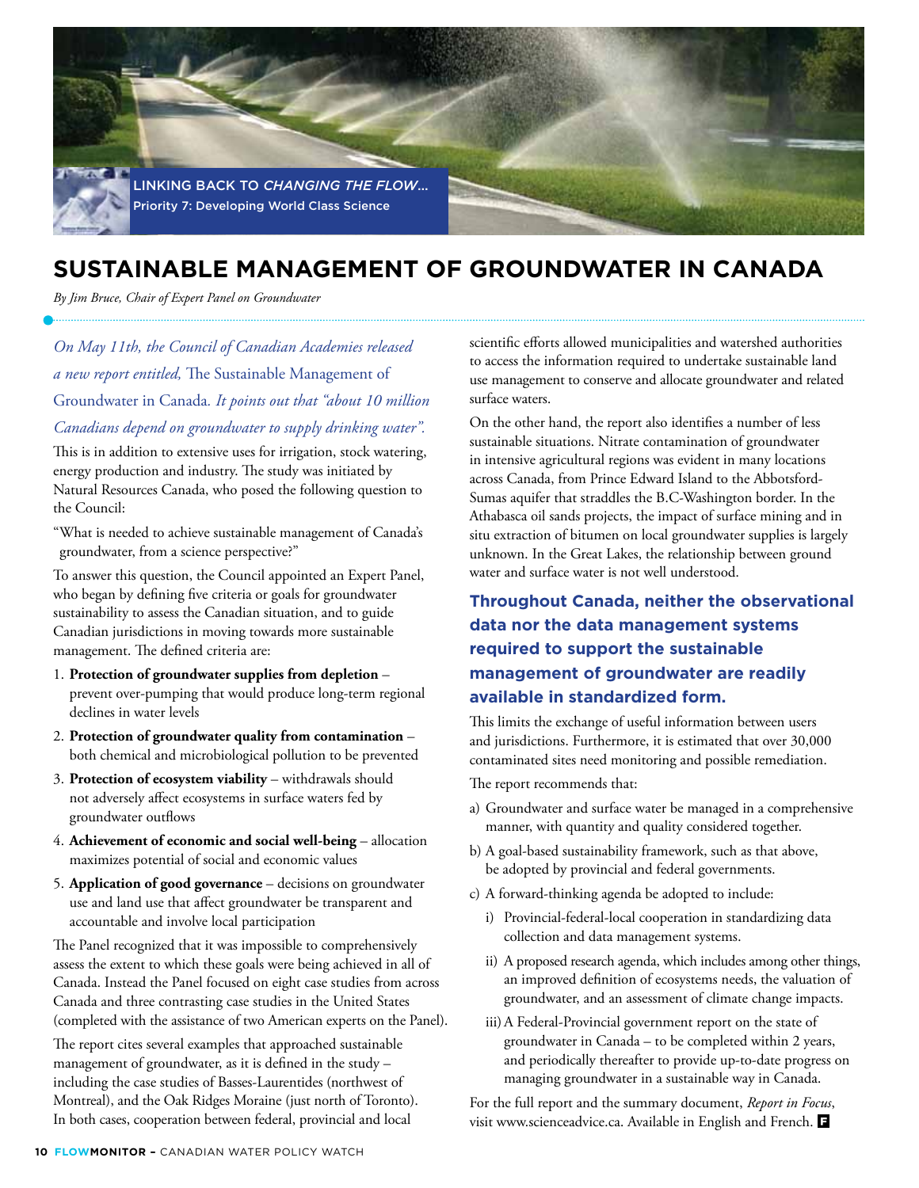

# **Sustainable Management of Groundwater in Canada**

*By Jim Bruce, Chair of Expert Panel on Groundwater*

*On May 11th, the Council of Canadian Academies released a new report entitled,* The Sustainable Management of Groundwater in Canada*. It points out that "about 10 million Canadians depend on groundwater to supply drinking water".* 

This is in addition to extensive uses for irrigation, stock watering, energy production and industry. The study was initiated by Natural Resources Canada, who posed the following question to the Council:

"What is needed to achieve sustainable management of Canada's groundwater, from a science perspective?"

To answer this question, the Council appointed an Expert Panel, who began by defining five criteria or goals for groundwater sustainability to assess the Canadian situation, and to guide Canadian jurisdictions in moving towards more sustainable management. The defined criteria are:

- 1. **Protection of groundwater supplies from depletion** prevent over-pumping that would produce long-term regional declines in water levels
- 2. **Protection of groundwater quality from contamination** both chemical and microbiological pollution to be prevented
- 3. **Protection of ecosystem viability** withdrawals should not adversely affect ecosystems in surface waters fed by groundwater outflows
- 4. **Achievement of economic and social well-being** allocation maximizes potential of social and economic values
- 5. **Application of good governance** decisions on groundwater use and land use that affect groundwater be transparent and accountable and involve local participation

The Panel recognized that it was impossible to comprehensively assess the extent to which these goals were being achieved in all of Canada. Instead the Panel focused on eight case studies from across Canada and three contrasting case studies in the United States (completed with the assistance of two American experts on the Panel).

The report cites several examples that approached sustainable management of groundwater, as it is defined in the study – including the case studies of Basses-Laurentides (northwest of Montreal), and the Oak Ridges Moraine (just north of Toronto). In both cases, cooperation between federal, provincial and local

scientific efforts allowed municipalities and watershed authorities to access the information required to undertake sustainable land use management to conserve and allocate groundwater and related surface waters.

On the other hand, the report also identifies a number of less sustainable situations. Nitrate contamination of groundwater in intensive agricultural regions was evident in many locations across Canada, from Prince Edward Island to the Abbotsford-Sumas aquifer that straddles the B.C-Washington border. In the Athabasca oil sands projects, the impact of surface mining and in situ extraction of bitumen on local groundwater supplies is largely unknown. In the Great Lakes, the relationship between ground water and surface water is not well understood.

### **Throughout Canada, neither the observational data nor the data management systems required to support the sustainable management of groundwater are readily available in standardized form.**

This limits the exchange of useful information between users and jurisdictions. Furthermore, it is estimated that over 30,000 contaminated sites need monitoring and possible remediation.

The report recommends that:

- a) Groundwater and surface water be managed in a comprehensive manner, with quantity and quality considered together.
- b) A goal-based sustainability framework, such as that above, be adopted by provincial and federal governments.
- c) A forward-thinking agenda be adopted to include:
	- i) Provincial-federal-local cooperation in standardizing data collection and data management systems.
	- ii) A proposed research agenda, which includes among other things, an improved definition of ecosystems needs, the valuation of groundwater, and an assessment of climate change impacts.
	- iii) A Federal-Provincial government report on the state of groundwater in Canada – to be completed within 2 years, and periodically thereafter to provide up-to-date progress on managing groundwater in a sustainable way in Canada.

For the full report and the summary document, *Report in Focus*, visit www.scienceadvice.ca. Available in English and French.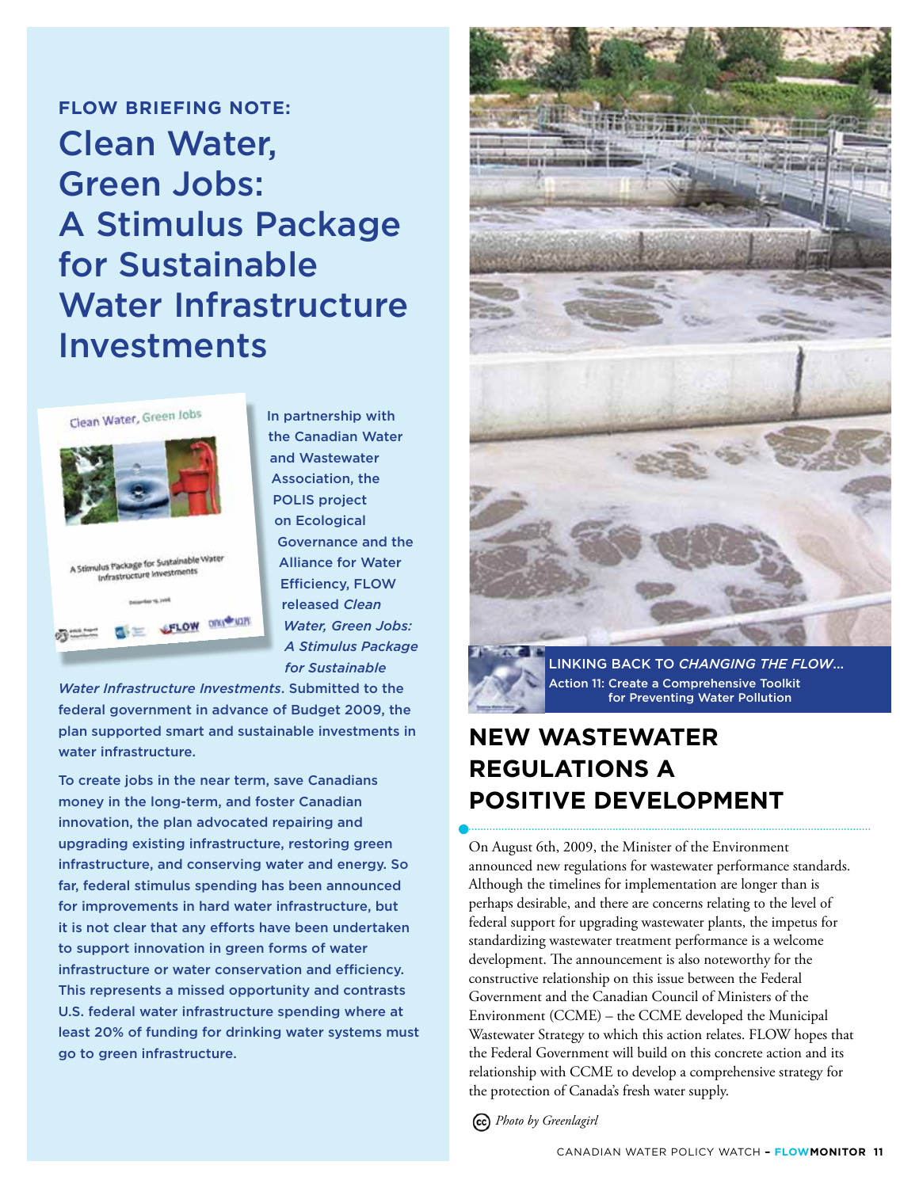### **FLOW BRIEFING NOTE:**

# Clean Water, Green Jobs: A Stimulus Package for Sustainable Water Infrastructure Investments



In partnership with the Canadian Water and Wastewater Association, the POLIS project on Ecological Governance and the Alliance for Water Efficiency, FLOW released *Clean Water, Green Jobs: A Stimulus Package for Sustainable* 

*Water Infrastructure Investments*. Submitted to the federal government in advance of Budget 2009, the plan supported smart and sustainable investments in water infrastructure.

To create jobs in the near term, save Canadians money in the long-term, and foster Canadian innovation, the plan advocated repairing and upgrading existing infrastructure, restoring green infrastructure, and conserving water and energy. So far, federal stimulus spending has been announced for improvements in hard water infrastructure, but it is not clear that any efforts have been undertaken to support innovation in green forms of water infrastructure or water conservation and efficiency. This represents a missed opportunity and contrasts U.S. federal water infrastructure spending where at least 20% of funding for drinking water systems must go to green infrastructure.



Linking back to *Changing the Flow*... Action 11: Create a Comprehensive Toolkit for Preventing Water Pollution

# **New Wastewater Regulations a Positive Development**

On August 6th, 2009, the Minister of the Environment announced new regulations for wastewater performance standards. Although the timelines for implementation are longer than is perhaps desirable, and there are concerns relating to the level of federal support for upgrading wastewater plants, the impetus for standardizing wastewater treatment performance is a welcome development. The announcement is also noteworthy for the constructive relationship on this issue between the Federal Government and the Canadian Council of Ministers of the Environment (CCME) – the CCME developed the Municipal Wastewater Strategy to which this action relates. FLOW hopes that the Federal Government will build on this concrete action and its relationship with CCME to develop a comprehensive strategy for the protection of Canada's fresh water supply.

*Photo by Greenlagirl*